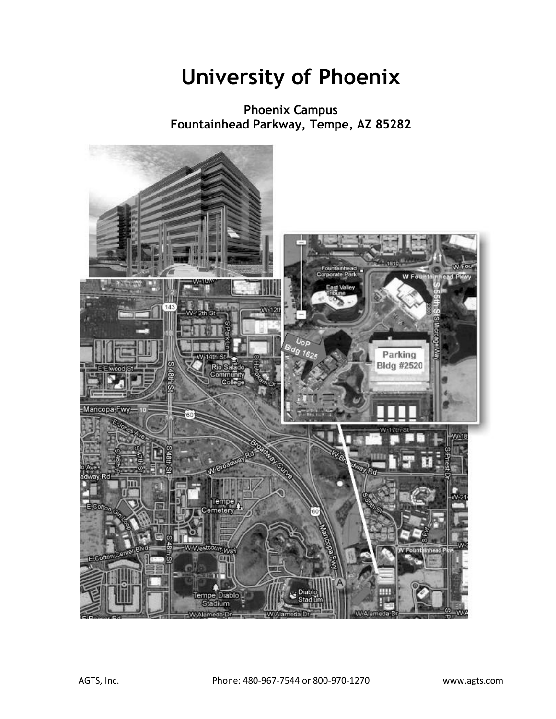## **University of Phoenix**

**Phoenix Campus Fountainhead Parkway, Tempe, AZ 85282**

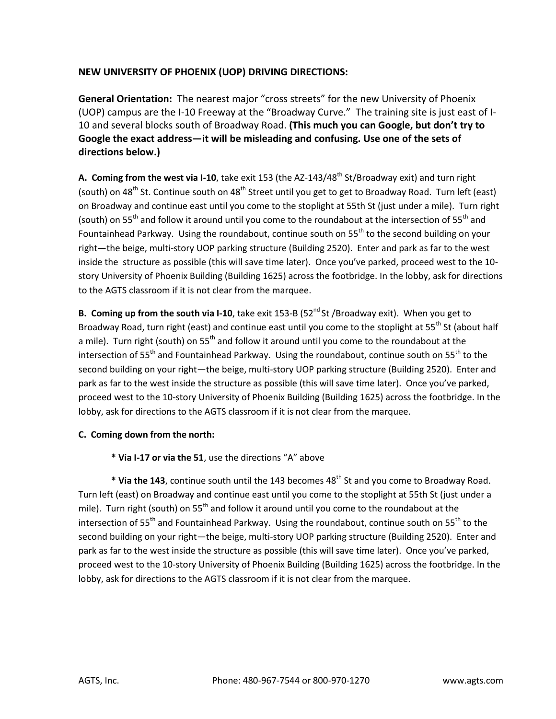## **NEW UNIVERSITY OF PHOENIX (UOP) DRIVING DIRECTIONS:**

**General Orientation:** The nearest major "cross streets" for the new University of Phoenix (UOP) campus are the I-10 Freeway at the "Broadway Curve." The training site is just east of I-10 and several blocks south of Broadway Road. **(This much you can Google, but don't try to Google the exact address—it will be misleading and confusing. Use one of the sets of directions below.)**

A. Coming from the west via I-10, take exit 153 (the AZ-143/48<sup>th</sup> St/Broadway exit) and turn right (south) on 48<sup>th</sup> St. Continue south on 48<sup>th</sup> Street until you get to get to Broadway Road. Turn left (east) on Broadway and continue east until you come to the stoplight at 55th St (just under a mile). Turn right (south) on 55<sup>th</sup> and follow it around until you come to the roundabout at the intersection of 55<sup>th</sup> and Fountainhead Parkway. Using the roundabout, continue south on  $55<sup>th</sup>$  to the second building on your right—the beige, multi-story UOP parking structure (Building 2520). Enter and park as far to the west inside the structure as possible (this will save time later). Once you've parked, proceed west to the 10 story University of Phoenix Building (Building 1625) across the footbridge. In the lobby, ask for directions to the AGTS classroom if it is not clear from the marquee.

**B. Coming up from the south via I-10**, take exit 153-B (52<sup>nd</sup> St /Broadway exit). When you get to Broadway Road, turn right (east) and continue east until you come to the stoplight at 55<sup>th</sup> St (about half a mile). Turn right (south) on  $55<sup>th</sup>$  and follow it around until you come to the roundabout at the intersection of  $55<sup>th</sup>$  and Fountainhead Parkway. Using the roundabout, continue south on  $55<sup>th</sup>$  to the second building on your right—the beige, multi-story UOP parking structure (Building 2520). Enter and park as far to the west inside the structure as possible (this will save time later). Once you've parked, proceed west to the 10-story University of Phoenix Building (Building 1625) across the footbridge. In the lobby, ask for directions to the AGTS classroom if it is not clear from the marquee.

## **C. Coming down from the north:**

**\* Via I-17 or via the 51**, use the directions "A" above

\* Via the 143, continue south until the 143 becomes 48<sup>th</sup> St and you come to Broadway Road. Turn left (east) on Broadway and continue east until you come to the stoplight at 55th St (just under a mile). Turn right (south) on  $55<sup>th</sup>$  and follow it around until you come to the roundabout at the intersection of  $55<sup>th</sup>$  and Fountainhead Parkway. Using the roundabout, continue south on  $55<sup>th</sup>$  to the second building on your right—the beige, multi-story UOP parking structure (Building 2520). Enter and park as far to the west inside the structure as possible (this will save time later). Once you've parked, proceed west to the 10-story University of Phoenix Building (Building 1625) across the footbridge. In the lobby, ask for directions to the AGTS classroom if it is not clear from the marquee.